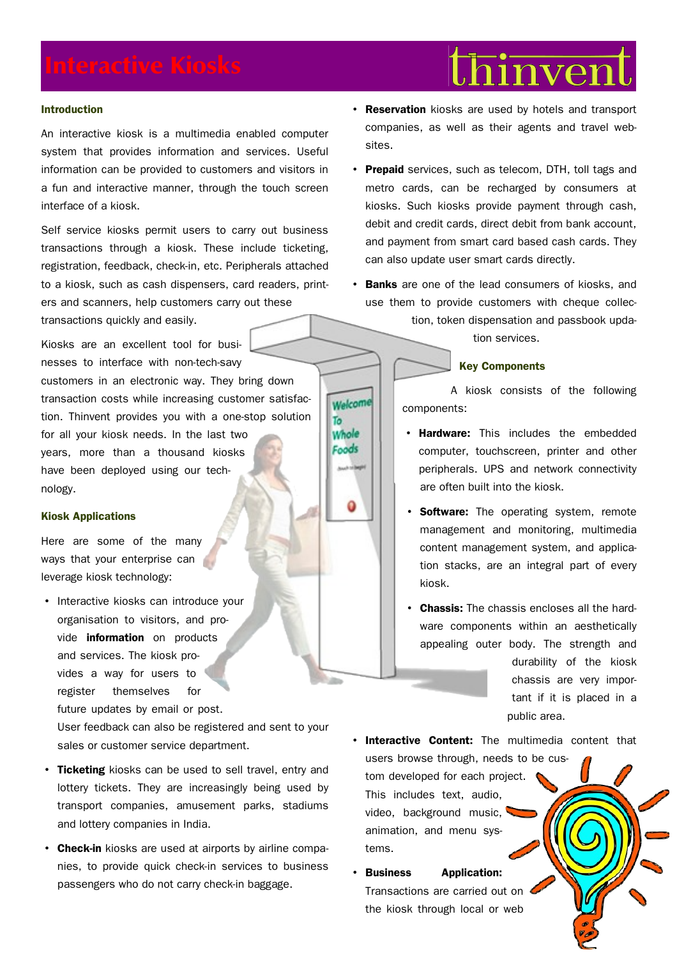## **Introduction**

An interactive kiosk is a multimedia enabled computer system that provides information and services. Useful information can be provided to customers and visitors in a fun and interactive manner, through the touch screen interface of a kiosk.

Self service kiosks permit users to carry out business transactions through a kiosk. These include ticketing, registration, feedback, check-in, etc. Peripherals attached to a kiosk, such as cash dispensers, card readers, printers and scanners, help customers carry out these transactions quickly and easily.

Kiosks are an excellent tool for businesses to interface with non-tech-savy customers in an electronic way. They bring down transaction costs while increasing customer satisfaction. Thinvent provides you with a one-stop solution for all your kiosk needs. In the last two years, more than a thousand kiosks have been deployed using our technology.

# **Kiosk Applications**

Here are some of the many ways that your enterprise can leverage kiosk technology:

• Interactive kiosks can introduce your organisation to visitors, and provide **information** on products and services. The kiosk provides a way for users to register themselves for future updates by email or post.

User feedback can also be registered and sent to your sales or customer service department.

- **Ticketing** kiosks can be used to sell travel, entry and lottery tickets. They are increasingly being used by transport companies, amusement parks, stadiums and lottery companies in India.
- **Check-in** kiosks are used at airports by airline companies, to provide quick check-in services to business passengers who do not carry check-in baggage.

• **Reservation** kiosks are used by hotels and transport companies, as well as their agents and travel websites.

hinven

- **Prepaid** services, such as telecom, DTH, toll tags and metro cards, can be recharged by consumers at kiosks. Such kiosks provide payment through cash, debit and credit cards, direct debit from bank account, and payment from smart card based cash cards. They can also update user smart cards directly.
- **Banks** are one of the lead consumers of kiosks, and use them to provide customers with cheque collec-

tion, token dispensation and passbook updation services.

# **Key Components**

Welcome To Whole Foods

A kiosk consists of the following components:

- **Hardware:** This includes the embedded computer, touchscreen, printer and other peripherals. UPS and network connectivity are often built into the kiosk.
- **Software:** The operating system, remote management and monitoring, multimedia content management system, and application stacks, are an integral part of every kiosk.
- **Chassis:** The chassis encloses all the hardware components within an aesthetically appealing outer body. The strength and

durability of the kiosk chassis are very important if it is placed in a public area.

- **Interactive Content:** The multimedia content that users browse through, nee[ds to be cus](http://www.thinvent.in/web)tom developed for each project. This includes text, audio, video, background music, animation, and menu systems.
- **Business Application:** Transactions are carried out on the kiosk through local or web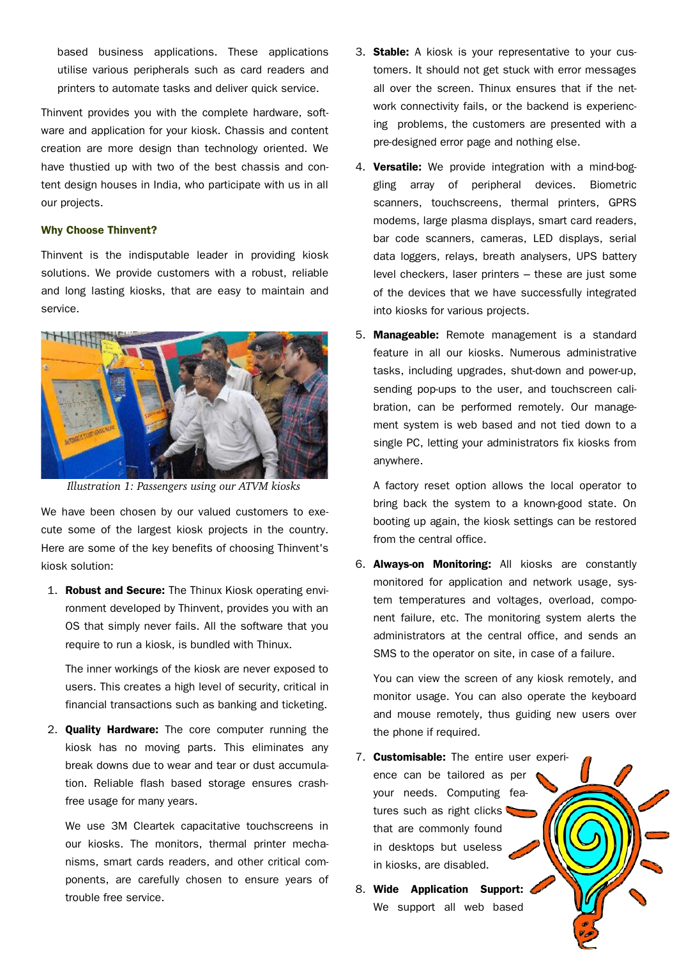based business applications. These applications utilise various peripherals such as card readers and printers to automate tasks and deliver quick service.

Thinvent provides you with the complete hardware, software and application for your kiosk. Chassis and content creation are more design than technology oriented. We have thustied up with two of the best chassis and content design houses in India, who participate with us in all our projects.

### **Why Choose Thinvent?**

Thinvent is the indisputable leader in providing kiosk solutions. We provide customers with a robust, reliable and long lasting kiosks, that are easy to maintain and service.



*Illustration 1: Passengers using our ATVM kiosks*

We have been chosen by our valued customers to execute some of the largest kiosk projects in the country. Here are some of the key benefits of choosing Thinvent's kiosk solution:

1. **Robust and Secure:** The Thinux Kiosk operating environment developed by Thinvent, provides you with an OS that simply never fails. All the software that you require to run a kiosk, is bundled with Thinux.

The inner workings of the kiosk are never exposed to users. This creates a high level of security, critical in financial transactions such as banking and ticketing.

2. **Quality Hardware:** The core computer running the kiosk has no moving parts. This eliminates any break downs due to wear and tear or dust accumulation. Reliable flash based storage ensures crashfree usage for many years.

We use 3M Cleartek capacitative touchscreens in our kiosks. The monitors, thermal printer mechanisms, smart cards readers, and other critical components, are carefully chosen to ensure years of trouble free service.

- 3. **Stable:** A kiosk is your representative to your customers. It should not get stuck with error messages all over the screen. Thinux ensures that if the network connectivity fails, or the backend is experiencing problems, the customers are presented with a pre-designed error page and nothing else.
- 4. **Versatile:** We provide integration with a mind-boggling array of peripheral devices. Biometric scanners, touchscreens, thermal printers, GPRS modems, large plasma displays, smart card readers, bar code scanners, cameras, LED displays, serial data loggers, relays, breath analysers, UPS battery level checkers, laser printers – these are just some of the devices that we have successfully integrated into kiosks for various projects.
- 5. **Manageable:** Remote management is a standard feature in all our kiosks. Numerous administrative tasks, including upgrades, shut-down and power-up, sending pop-ups to the user, and touchscreen calibration, can be performed remotely. Our management system is web based and not tied down to a single PC, letting your administrators fix kiosks from anywhere.

A factory reset option allows the local operator to bring back the system to a known-good state. On booting up again, the kiosk settings can be restored from the central office.

6. **Always-on Monitoring:** All kiosks are constantly monitored for application and network usage, system temperatures and voltages, overload, component failure, etc. The monitoring system alerts the administrators at the central office, and sends an SMS to the operator on site, in case of a failure.

You can view the screen of any kiosk remotely, and monitor usage. You can also operate the keyboard and mouse remotely, thus guiding new users over the phone if required.

- 7. **Customisable:** The entire [user experi](http://www.thinvent.in/web)ence can be tailored as per your needs. Computing features such as right clicks that are commonly found in desktops but useless in kiosks, are disabled.
- 8. **Wide Application Support:** We support all web based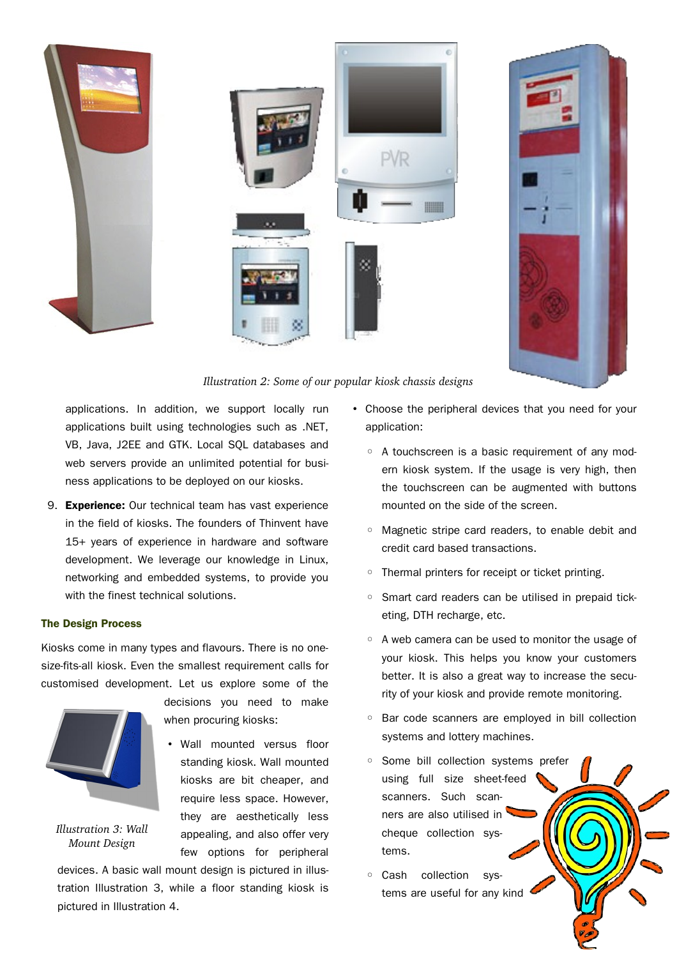

# *Illustration 2: Some of our popular kiosk chassis designs*

applications. In addition, we support locally run applications built using technologies such as .NET, VB, Java, J2EE and GTK. Local SQL databases and web servers provide an unlimited potential for business applications to be deployed on our kiosks.

9. **Experience:** Our technical team has vast experience in the field of kiosks. The founders of Thinvent have 15+ years of experience in hardware and software development. We leverage our knowledge in Linux, networking and embedded systems, to provide you with the finest technical solutions.

# **The Design Process**

Kiosks come in many types and flavours. There is no onesize-fits-all kiosk. Even the smallest requirement calls for customised development. Let us explore some of the



<span id="page-2-0"></span>*Illustration 3: Wall Mount Design*

decisions you need to make when procuring kiosks:

• Wall mounted versus floor standing kiosk. Wall mounted kiosks are bit cheaper, and require less space. However, they are aesthetically less appealing, and also offer very few options for peripheral

devices. A basic wall mount design is pictured in illustration [Illustration 3,](#page-2-0) while a floor standing kiosk is pictured in [Illustration 4.](#page-3-0)

- Choose the peripheral devices that you need for your application:
	- A touchscreen is a basic requirement of any modern kiosk system. If the usage is very high, then the touchscreen can be augmented with buttons mounted on the side of the screen.
	- Magnetic stripe card readers, to enable debit and credit card based transactions.
	- Thermal printers for receipt or ticket printing.
	- Smart card readers can be utilised in prepaid ticketing, DTH recharge, etc.
	- A web camera can be used to monitor the usage of your kiosk. This helps you know your customers better. It is also a great way to increase the security of your kiosk and provide remote monitoring.
	- Bar code scanners are employed in bill collection systems and lottery machines.
	- Some bill collection sy[stems prefer](http://www.thinvent.in/web) using full size sheet-feed scanners. Such scanners are also utilised in cheque collection systems.
	- Cash collection systems are useful for any kind